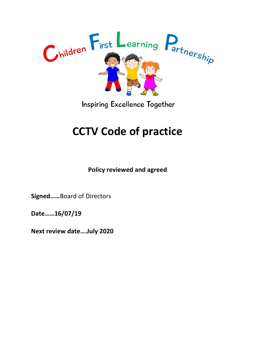

**Inspiring Excellence Together** 

# **CCTV Code of practice**

**Policy reviewed and agreed** 

**Signed……**Board of Directors

**Date……16/07/19**

**Next review date….July 2020**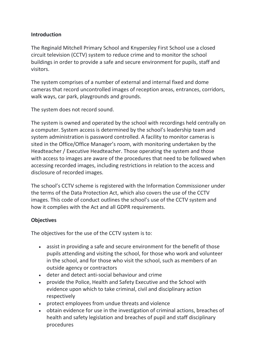### **Introduction**

The Reginald Mitchell Primary School and Knypersley First School use a closed circuit television (CCTV) system to reduce crime and to monitor the school buildings in order to provide a safe and secure environment for pupils, staff and visitors.

The system comprises of a number of external and internal fixed and dome cameras that record uncontrolled images of reception areas, entrances, corridors, walk ways, car park, playgrounds and grounds.

The system does not record sound.

The system is owned and operated by the school with recordings held centrally on a computer. System access is determined by the school's leadership team and system administration is password controlled. A facility to monitor cameras is sited in the Office/Office Manager's room, with monitoring undertaken by the Headteacher / Executive Headteacher. Those operating the system and those with access to images are aware of the procedures that need to be followed when accessing recorded images, including restrictions in relation to the access and disclosure of recorded images.

The school's CCTV scheme is registered with the Information Commissioner under the terms of the Data Protection Act, which also covers the use of the CCTV images. This code of conduct outlines the school's use of the CCTV system and how it complies with the Act and all GDPR requirements.

### **Objectives**

The objectives for the use of the CCTV system is to:

- assist in providing a safe and secure environment for the benefit of those pupils attending and visiting the school, for those who work and volunteer in the school, and for those who visit the school, such as members of an outside agency or contractors
- deter and detect anti-social behaviour and crime
- provide the Police, Health and Safety Executive and the School with evidence upon which to take criminal, civil and disciplinary action respectively
- protect employees from undue threats and violence
- obtain evidence for use in the investigation of criminal actions, breaches of health and safety legislation and breaches of pupil and staff disciplinary procedures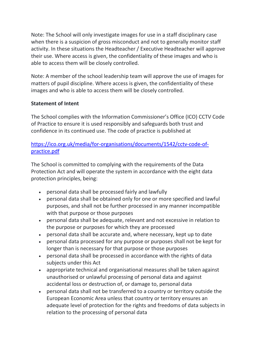Note: The School will only investigate images for use in a staff disciplinary case when there is a suspicion of gross misconduct and not to generally monitor staff activity. In these situations the Headteacher / Executive Headteacher will approve their use. Where access is given, the confidentiality of these images and who is able to access them will be closely controlled.

Note: A member of the school leadership team will approve the use of images for matters of pupil discipline. Where access is given, the confidentiality of these images and who is able to access them will be closely controlled.

### **Statement of Intent**

The School complies with the Information Commissioner's Office (ICO) CCTV Code of Practice to ensure it is used responsibly and safeguards both trust and confidence in its continued use. The code of practice is published at

# [https://ico.org.uk/media/for-organisations/documents/1542/cctv-code-of](https://ico.org.uk/media/for-organisations/documents/1542/cctv-code-of-practice.pdf)[practice.pdf](https://ico.org.uk/media/for-organisations/documents/1542/cctv-code-of-practice.pdf)

The School is committed to complying with the requirements of the Data Protection Act and will operate the system in accordance with the eight data protection principles, being:

- personal data shall be processed fairly and lawfully
- personal data shall be obtained only for one or more specified and lawful purposes, and shall not be further processed in any manner incompatible with that purpose or those purposes
- personal data shall be adequate, relevant and not excessive in relation to the purpose or purposes for which they are processed
- personal data shall be accurate and, where necessary, kept up to date
- personal data processed for any purpose or purposes shall not be kept for longer than is necessary for that purpose or those purposes
- personal data shall be processed in accordance with the rights of data subjects under this Act
- appropriate technical and organisational measures shall be taken against unauthorised or unlawful processing of personal data and against accidental loss or destruction of, or damage to, personal data
- personal data shall not be transferred to a country or territory outside the European Economic Area unless that country or territory ensures an adequate level of protection for the rights and freedoms of data subjects in relation to the processing of personal data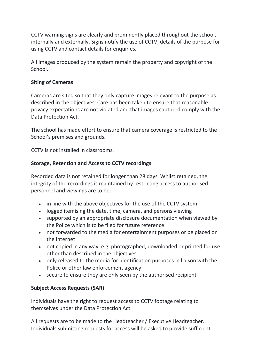CCTV warning signs are clearly and prominently placed throughout the school, internally and externally. Signs notify the use of CCTV, details of the purpose for using CCTV and contact details for enquiries.

All images produced by the system remain the property and copyright of the School.

## **Siting of Cameras**

Cameras are sited so that they only capture images relevant to the purpose as described in the objectives. Care has been taken to ensure that reasonable privacy expectations are not violated and that images captured comply with the Data Protection Act.

The school has made effort to ensure that camera coverage is restricted to the School's premises and grounds.

CCTV is not installed in classrooms.

## **Storage, Retention and Access to CCTV recordings**

Recorded data is not retained for longer than 28 days. Whilst retained, the integrity of the recordings is maintained by restricting access to authorised personnel and viewings are to be:

- in line with the above objectives for the use of the CCTV system
- logged itemising the date, time, camera, and persons viewing
- supported by an appropriate disclosure documentation when viewed by the Police which is to be filed for future reference
- not forwarded to the media for entertainment purposes or be placed on the internet
- not copied in any way, e.g. photographed, downloaded or printed for use other than described in the objectives
- only released to the media for identification purposes in liaison with the Police or other law enforcement agency
- secure to ensure they are only seen by the authorised recipient

# **Subject Access Requests (SAR)**

Individuals have the right to request access to CCTV footage relating to themselves under the Data Protection Act.

All requests are to be made to the Headteacher / Executive Headteacher. Individuals submitting requests for access will be asked to provide sufficient